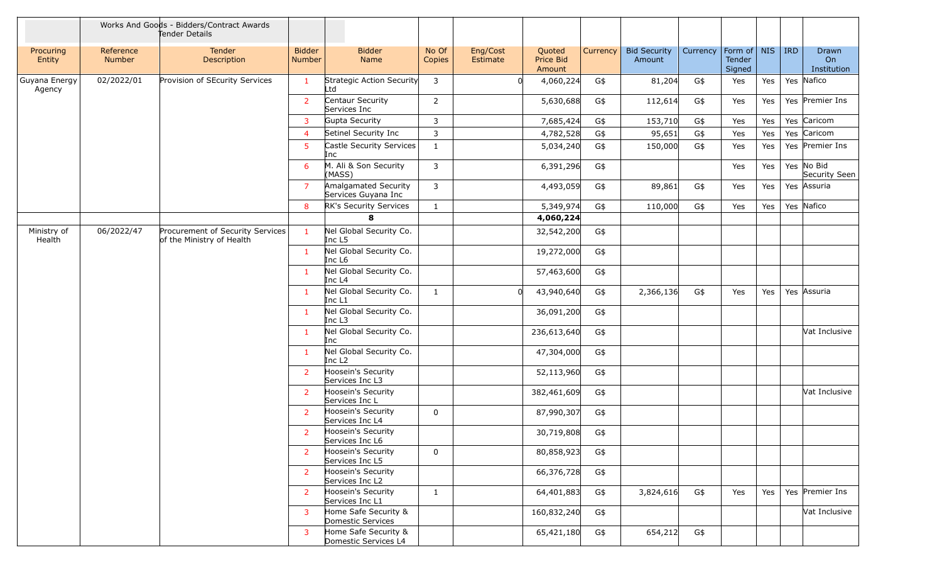|                         |                            | Works And Goods - Bidders/Contract Awards<br>Tender Details   |                                |                                              |                                       |                      |                               |             |                               |           |                             |            |             |                             |                 |
|-------------------------|----------------------------|---------------------------------------------------------------|--------------------------------|----------------------------------------------|---------------------------------------|----------------------|-------------------------------|-------------|-------------------------------|-----------|-----------------------------|------------|-------------|-----------------------------|-----------------|
| Procuring<br>Entity     | Reference<br><b>Number</b> | Tender<br>Description                                         | <b>Bidder</b><br><b>Number</b> | <b>Bidder</b><br>Name                        | No Of<br>Copies                       | Eng/Cost<br>Estimate | Quoted<br>Price Bid<br>Amount | Currency    | <b>Bid Security</b><br>Amount | Currency  | Form of<br>Tender<br>Signed | <b>NIS</b> | $ $ IRD     | Drawn<br>On<br>Institution  |                 |
| Guyana Energy<br>Agency | 02/2022/01                 | Provision of SEcurity Services                                |                                | Strategic Action Security<br>Ltd             | 3                                     |                      | 4,060,224                     | G\$         | 81,204                        | G\$       | Yes                         | Yes        |             | Yes Nafico                  |                 |
|                         |                            |                                                               | 2                              | Centaur Security<br>Services Inc             | $\overline{2}$                        |                      | 5,630,688                     | G\$         | 112,614                       | G\$       | Yes                         | Yes        |             | Yes Premier Ins             |                 |
|                         |                            |                                                               | 3                              | Gupta Security                               | 3                                     |                      | 7,685,424                     | G\$         | 153,710                       | G\$       | Yes                         | Yes        |             | Yes Caricom                 |                 |
|                         |                            |                                                               | $\overline{4}$                 | Setinel Security Inc                         | 3                                     |                      | 4,782,528                     | G\$         | 95,651                        | G\$       | Yes                         | Yes        |             | Yes Caricom                 |                 |
|                         |                            |                                                               | 5                              | Castle Security Services<br>Inc              | $\mathbf{1}$                          |                      | 5,034,240                     | G\$         | 150,000                       | G\$       | Yes                         | Yes        |             | Yes Premier Ins             |                 |
|                         |                            |                                                               | 6                              | M. Ali & Son Security<br>(MASS)              | 3                                     |                      | 6,391,296                     | G\$         |                               |           | Yes                         | Yes        |             | Yes No Bid<br>Security Seen |                 |
|                         |                            |                                                               | 7                              | Amalgamated Security<br>Services Guyana Inc  | 3                                     |                      | 4,493,059                     | G\$         | 89,861                        | G\$       | Yes                         | Yes        |             | Yes Assuria                 |                 |
|                         |                            |                                                               | 8                              | RK's Security Services                       | $\mathbf{1}$                          |                      | 5,349,974                     | G\$         | 110,000                       | G\$       | Yes                         | Yes        |             | Yes Nafico                  |                 |
|                         |                            |                                                               |                                | 8                                            |                                       |                      | 4,060,224                     |             |                               |           |                             |            |             |                             |                 |
| Ministry of<br>Health   | 06/2022/47                 | Procurement of Security Services<br>of the Ministry of Health | $\mathbf{1}$                   | Nel Global Security Co.<br>Inc L5            |                                       |                      | 32,542,200                    | G\$         |                               |           |                             |            |             |                             |                 |
|                         |                            |                                                               | $\mathbf{1}$                   | Nel Global Security Co.<br>Inc L6            |                                       |                      | 19,272,000                    | G\$         |                               |           |                             |            | Yes Assuria |                             |                 |
|                         |                            |                                                               | $\mathbf{1}$                   | Nel Global Security Co.<br>Inc L4            |                                       |                      | 57,463,600                    | G\$         |                               |           |                             |            |             |                             |                 |
|                         |                            |                                                               | -1                             | Nel Global Security Co.<br>Inc L1            | $\mathbf{1}$                          |                      | 43,940,640                    | G\$         | 2,366,136                     | G\$       | Yes                         | Yes        |             |                             |                 |
|                         |                            |                                                               | $\mathbf{1}$                   | Nel Global Security Co.<br>Inc L3            |                                       |                      | 36,091,200                    | G\$         |                               |           |                             |            |             |                             |                 |
|                         |                            |                                                               |                                | $\mathbf{1}$                                 | Nel Global Security Co.<br>Inc        |                      |                               | 236,613,640 | G\$                           |           |                             |            |             |                             | Vat Inclusive   |
|                         |                            |                                                               | $\mathbf{1}$                   | Nel Global Security Co.<br>Inc L2            |                                       |                      | 47,304,000                    | G\$         |                               |           |                             |            |             |                             |                 |
|                         |                            |                                                               | 2                              | Hoosein's Security<br>Services Inc L3        |                                       |                      | 52,113,960                    | G\$         |                               |           |                             |            |             |                             |                 |
|                         |                            |                                                               | 2                              | Hoosein's Security<br>Services Inc L         |                                       |                      | 382,461,609                   | G\$         |                               |           |                             |            |             | Vat Inclusive               |                 |
|                         |                            |                                                               | 2                              | Hoosein's Security<br>Services Inc L4        | $\mathbf 0$                           |                      | 87,990,307                    | G\$         |                               |           |                             |            |             |                             |                 |
|                         |                            |                                                               | 2                              | Hoosein's Security<br>Services Inc L6        |                                       |                      | 30,719,808                    | G\$         |                               |           |                             |            |             |                             |                 |
|                         |                            |                                                               | $\overline{2}$                 | Hoosein's Security<br>Services Inc L5        | $\mathbf 0$                           |                      | 80,858,923                    | G\$         |                               |           |                             |            |             |                             |                 |
|                         |                            |                                                               | 2                              | Hoosein's Security<br>Services Inc L2        |                                       |                      | 66,376,728                    | G\$         |                               |           |                             |            |             |                             |                 |
|                         |                            |                                                               |                                | $\overline{2}$                               | Hoosein's Security<br>Services Inc L1 | $\mathbf{1}$         |                               | 64,401,883  | G\$                           | 3,824,616 | G\$                         | Yes        | Yes         |                             | Yes Premier Ins |
|                         |                            |                                                               | 3                              | Home Safe Security &<br>Domestic Services    |                                       |                      | 160,832,240                   | G\$         |                               |           |                             |            |             | Vat Inclusive               |                 |
|                         |                            |                                                               | 3                              | Home Safe Security &<br>Domestic Services L4 |                                       |                      | 65,421,180                    | G\$         | 654,212                       | G\$       |                             |            |             |                             |                 |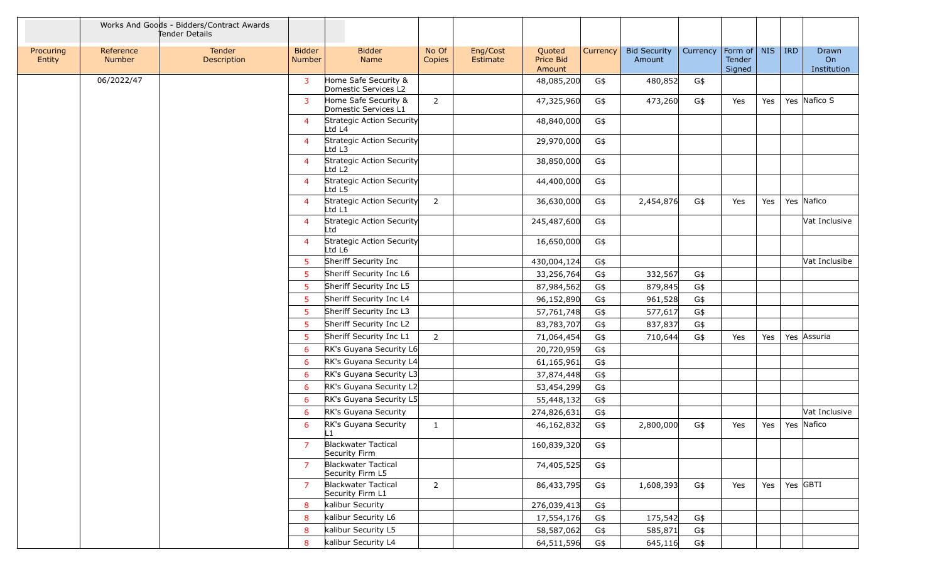|                     |                            | Works And Goods - Bidders/Contract Awards<br>Tender Details |                                |                                                 |                 |                             |                               |                 |                               |          |                                   |     |     |                            |
|---------------------|----------------------------|-------------------------------------------------------------|--------------------------------|-------------------------------------------------|-----------------|-----------------------------|-------------------------------|-----------------|-------------------------------|----------|-----------------------------------|-----|-----|----------------------------|
| Procuring<br>Entity | Reference<br><b>Number</b> | Tender<br>Description                                       | <b>Bidder</b><br><b>Number</b> | <b>Bidder</b><br>Name                           | No Of<br>Copies | Eng/Cost<br><b>Estimate</b> | Quoted<br>Price Bid<br>Amount | <b>Currency</b> | <b>Bid Security</b><br>Amount | Currency | Form of   NIS<br>Tender<br>Signed |     | IRD | Drawn<br>On<br>Institution |
|                     | 06/2022/47                 |                                                             | $\overline{3}$                 | Home Safe Security &<br>Domestic Services L2    |                 |                             | 48,085,200                    | G\$             | 480,852                       | G\$      |                                   |     |     |                            |
|                     |                            |                                                             | $\overline{3}$                 | Home Safe Security &<br>Domestic Services L1    | $2^{\circ}$     |                             | 47,325,960                    | G\$             | 473,260                       | G\$      | Yes                               | Yes |     | Yes Nafico S               |
|                     |                            |                                                             | $\overline{4}$                 | Strategic Action Security<br>Ltd L4             |                 |                             | 48,840,000                    | G\$             |                               |          |                                   |     |     |                            |
|                     |                            |                                                             | $\overline{4}$                 | Strategic Action Security<br>Ltd L3             |                 |                             | 29,970,000                    | G\$             |                               |          |                                   |     |     |                            |
|                     |                            |                                                             | $\overline{4}$                 | Strategic Action Security<br>Ltd L <sub>2</sub> |                 |                             | 38,850,000                    | G\$             |                               |          |                                   |     |     |                            |
|                     |                            |                                                             | $\overline{4}$                 | Strategic Action Security<br>Ltd L5             |                 |                             | 44,400,000                    | G\$             |                               |          |                                   |     |     |                            |
|                     |                            |                                                             | $\overline{4}$                 | Strategic Action Security<br>Ltd L1             | $\overline{2}$  |                             | 36,630,000                    | G\$             | 2,454,876                     | G\$      | Yes                               | Yes |     | Yes Nafico                 |
|                     |                            |                                                             | $\overline{4}$                 | Strategic Action Security<br>Ltd                |                 |                             | 245,487,600                   | G\$             |                               |          |                                   |     |     | Vat Inclusive              |
|                     |                            |                                                             | $\overline{4}$                 | Strategic Action Security<br>Ltd L6             |                 |                             | 16,650,000                    | G\$             |                               |          |                                   |     |     |                            |
|                     |                            |                                                             | -5                             | Sheriff Security Inc                            |                 |                             | 430,004,124                   | G\$             |                               |          |                                   |     |     | Vat Inclusibe              |
|                     |                            |                                                             | -5                             | Sheriff Security Inc L6                         |                 |                             | 33,256,764                    | G\$             | 332,567                       | G\$      |                                   |     |     |                            |
|                     |                            |                                                             | -5                             | Sheriff Security Inc L5                         |                 |                             | 87,984,562                    | G\$             | 879,845                       | G\$      |                                   |     |     |                            |
|                     |                            |                                                             | -5                             | Sheriff Security Inc L4                         |                 |                             | 96,152,890                    | G\$             | 961,528                       | G\$      |                                   |     |     |                            |
|                     |                            |                                                             | -5                             | Sheriff Security Inc L3                         |                 |                             | 57,761,748                    | G\$             | 577,617                       | G\$      |                                   |     |     |                            |
|                     |                            |                                                             | -5                             | Sheriff Security Inc L2                         |                 |                             | 83,783,707                    | G\$             | 837,837                       | G\$      |                                   |     |     |                            |
|                     |                            |                                                             | -5                             | Sheriff Security Inc L1                         | $\overline{2}$  |                             | 71,064,454                    | G\$             | 710,644                       | G\$      | Yes                               | Yes |     | Yes Assuria                |
|                     |                            |                                                             | -6                             | RK's Guyana Security L6                         |                 |                             | 20,720,959                    | G\$             |                               |          |                                   |     |     |                            |
|                     |                            |                                                             | -6                             | RK's Guyana Security L4                         |                 |                             | 61,165,961                    | G\$             |                               |          |                                   |     |     |                            |
|                     |                            |                                                             | 6                              | RK's Guyana Security L3                         |                 |                             | 37,874,448                    | G\$             |                               |          |                                   |     |     |                            |
|                     |                            |                                                             | -6                             | RK's Guyana Security L2                         |                 |                             | 53,454,299                    | G\$             |                               |          |                                   |     |     |                            |
|                     |                            |                                                             | -6                             | RK's Guyana Security L5                         |                 |                             | 55,448,132                    | G\$             |                               |          |                                   |     |     |                            |
|                     |                            |                                                             | -6                             | RK's Guyana Security                            |                 |                             | 274,826,631                   | G\$             |                               |          |                                   |     |     | Vat Inclusive              |
|                     |                            |                                                             | 6                              | RK's Guyana Security<br>ll 1                    | $\mathbf{1}$    |                             | 46,162,832                    | G\$             | 2,800,000                     | G\$      | Yes                               | Yes |     | Yes Nafico                 |
|                     |                            |                                                             | $\overline{7}$                 | <b>Blackwater Tactical</b><br>Security Firm     |                 |                             | 160,839,320                   | G\$             |                               |          |                                   |     |     |                            |
|                     |                            |                                                             | $\overline{7}$                 | Blackwater Tactical<br>Security Firm L5         |                 |                             | 74,405,525                    | G\$             |                               |          |                                   |     |     |                            |
|                     |                            |                                                             | -7                             | <b>Blackwater Tactical</b><br>Security Firm L1  | $\overline{2}$  |                             | 86,433,795                    | G\$             | 1,608,393                     | G\$      | Yes                               | Yes |     | Yes GBTI                   |
|                     |                            |                                                             | -8                             | kalibur Security                                |                 |                             | 276,039,413                   | G\$             |                               |          |                                   |     |     |                            |
|                     |                            |                                                             | -8                             | kalibur Security L6                             |                 |                             | 17,554,176                    | G\$             | 175,542                       | G\$      |                                   |     |     |                            |
|                     |                            |                                                             | -8                             | kalibur Security L5                             |                 |                             | 58,587,062                    | G\$             | 585,871                       | G\$      |                                   |     |     |                            |
|                     |                            |                                                             | -8                             | kalibur Security L4                             |                 |                             | 64,511,596                    | G\$             | 645,116                       | G\$      |                                   |     |     |                            |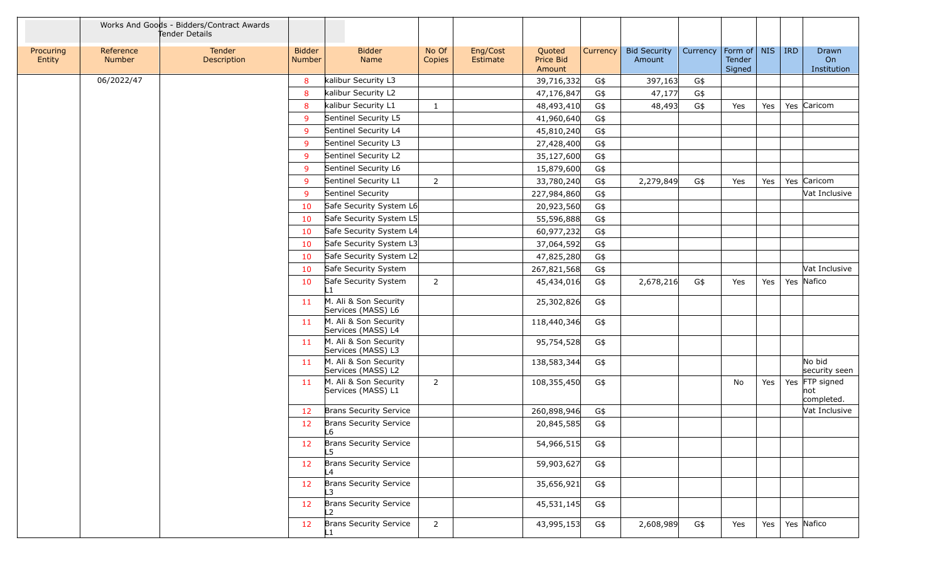|                     |                            | Works And Goods - Bidders/Contract Awards<br>Tender Details |                         |                                             |                 |                      |                               |                 |                               |          |                                         |     |            |                                     |
|---------------------|----------------------------|-------------------------------------------------------------|-------------------------|---------------------------------------------|-----------------|----------------------|-------------------------------|-----------------|-------------------------------|----------|-----------------------------------------|-----|------------|-------------------------------------|
| Procuring<br>Entity | Reference<br><b>Number</b> | Tender<br>Description                                       | <b>Bidder</b><br>Number | <b>Bidder</b><br>Name                       | No Of<br>Copies | Eng/Cost<br>Estimate | Quoted<br>Price Bid<br>Amount | <b>Currency</b> | <b>Bid Security</b><br>Amount | Currency | Form of $\vert$ NIS<br>Tender<br>Signed |     | <b>IRD</b> | Drawn<br>On<br>Institution          |
|                     | 06/2022/47                 |                                                             | 8                       | kalibur Security L3                         |                 |                      | 39,716,332                    | G\$             | 397,163                       | G\$      |                                         |     |            |                                     |
|                     |                            |                                                             | 8                       | kalibur Security L2                         |                 |                      | 47,176,847                    | G\$             | 47,177                        | G\$      |                                         |     |            |                                     |
|                     |                            |                                                             | 8                       | kalibur Security L1                         | $\mathbf{1}$    |                      | 48,493,410                    | G\$             | 48,493                        | G\$      | Yes                                     | Yes |            | Yes Caricom                         |
|                     |                            |                                                             | 9                       | Sentinel Security L5                        |                 |                      | 41,960,640                    | G\$             |                               |          |                                         |     |            |                                     |
|                     |                            |                                                             | 9                       | Sentinel Security L4                        |                 |                      | 45,810,240                    | G\$             |                               |          |                                         |     |            |                                     |
|                     |                            |                                                             | 9                       | Sentinel Security L3                        |                 |                      | 27,428,400                    | G\$             |                               |          |                                         |     |            |                                     |
|                     |                            |                                                             | 9                       | Sentinel Security L2                        |                 |                      | 35,127,600                    | G\$             |                               |          |                                         |     |            |                                     |
|                     |                            |                                                             | 9                       | Sentinel Security L6                        |                 |                      | 15,879,600                    | G\$             |                               |          |                                         |     |            |                                     |
|                     |                            |                                                             | <sub>9</sub>            | Sentinel Security L1                        | $\overline{2}$  |                      | 33,780,240                    | G\$             | 2,279,849                     | G\$      | Yes                                     | Yes |            | Yes Caricom                         |
|                     |                            |                                                             | 9                       | Sentinel Security                           |                 |                      | 227,984,860                   | G\$             |                               |          |                                         |     |            | Vat Inclusive                       |
|                     |                            |                                                             | 10                      | Safe Security System L6                     |                 |                      | 20,923,560                    | G\$             |                               |          |                                         |     |            |                                     |
|                     |                            |                                                             | 10                      | Safe Security System L5                     |                 |                      | 55,596,888                    | G\$             |                               |          |                                         |     |            |                                     |
|                     |                            |                                                             | 10                      | Safe Security System L4                     |                 |                      | 60,977,232                    | G\$             |                               |          |                                         |     |            |                                     |
|                     |                            |                                                             | 10                      | Safe Security System L3                     |                 |                      | 37,064,592                    | G\$             |                               |          |                                         |     |            |                                     |
|                     |                            |                                                             | 10                      | Safe Security System L2                     |                 |                      | 47,825,280                    | G\$             |                               |          |                                         |     |            |                                     |
|                     |                            |                                                             | 10                      | Safe Security System                        |                 |                      | 267,821,568                   | G\$             |                               |          |                                         |     |            | Vat Inclusive                       |
|                     |                            |                                                             | 10                      | Safe Security System<br>l 1                 | $\overline{2}$  |                      | 45,434,016                    | G\$             | 2,678,216                     | G\$      | Yes                                     | Yes |            | Yes Nafico                          |
|                     |                            |                                                             | 11 <sup>1</sup>         | M. Ali & Son Security<br>Services (MASS) L6 |                 |                      | 25,302,826                    | G\$             |                               |          |                                         |     |            |                                     |
|                     |                            |                                                             | 11                      | M. Ali & Son Security<br>Services (MASS) L4 |                 |                      | 118,440,346                   | G\$             |                               |          |                                         |     |            |                                     |
|                     |                            |                                                             | 11                      | M. Ali & Son Security<br>Services (MASS) L3 |                 |                      | 95,754,528                    | G\$             |                               |          |                                         |     |            |                                     |
|                     |                            |                                                             | 11 <sub>1</sub>         | M. Ali & Son Security<br>Services (MASS) L2 |                 |                      | 138,583,344                   | G\$             |                               |          |                                         |     |            | No bid<br>security seen             |
|                     |                            |                                                             | 11                      | M. Ali & Son Security<br>Services (MASS) L1 | 2               |                      | 108,355,450                   | G\$             |                               |          | No                                      | Yes |            | Yes FTP signed<br>not<br>completed. |
|                     |                            |                                                             | 12                      | Brans Security Service                      |                 |                      | 260,898,946                   | G\$             |                               |          |                                         |     |            | Vat Inclusive                       |
|                     |                            |                                                             | 12                      | Brans Security Service<br>L6                |                 |                      | 20,845,585                    | G\$             |                               |          |                                         |     |            |                                     |
|                     |                            |                                                             | 12                      | Brans Security Service<br>$-5$              |                 |                      | 54,966,515                    | G\$             |                               |          |                                         |     |            |                                     |
|                     |                            |                                                             | 12                      | <b>Brans Security Service</b><br>L4         |                 |                      | 59,903,627                    | G\$             |                               |          |                                         |     |            |                                     |
|                     |                            |                                                             | 12                      | Brans Security Service                      |                 |                      | 35,656,921                    | G\$             |                               |          |                                         |     |            |                                     |
|                     |                            |                                                             | 12                      | <b>Brans Security Service</b><br>12         |                 |                      | 45,531,145                    | G\$             |                               |          |                                         |     |            |                                     |
|                     |                            |                                                             | 12                      | Brans Security Service                      | $\overline{2}$  |                      | 43,995,153                    | G\$             | 2,608,989                     | G\$      | Yes                                     | Yes |            | Yes Nafico                          |